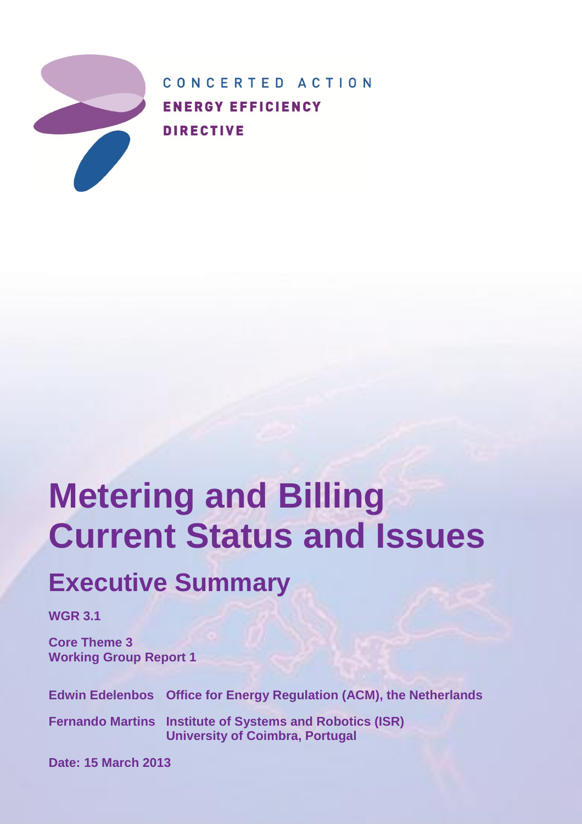

CONCERTED ACTION **ENERGY EFFICIENCY DIRECTIVE** 

# **Metering and Billing Current Status and Issues**

## **Executive Summary**

**WGR 3.1**

**Core Theme 3 Working Group Report 1**

**Edwin Edelenbos Office for Energy Regulation (ACM), the Netherlands**

**Fernando Martins Institute of Systems and Robotics (ISR) University of Coimbra, Portugal**

**Date: 15 March 2013**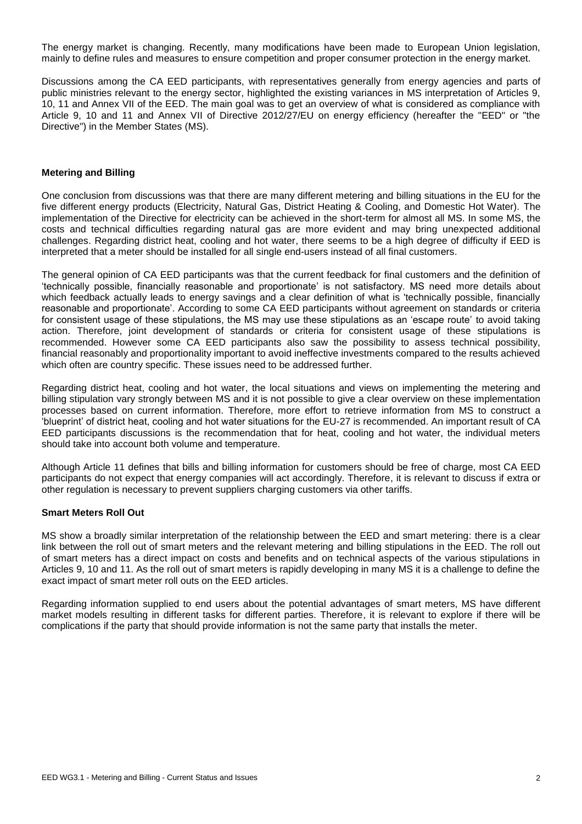The energy market is changing. Recently, many modifications have been made to European Union legislation, mainly to define rules and measures to ensure competition and proper consumer protection in the energy market.

Discussions among the CA EED participants, with representatives generally from energy agencies and parts of public ministries relevant to the energy sector, highlighted the existing variances in MS interpretation of Articles 9, 10, 11 and Annex VII of the EED. The main goal was to get an overview of what is considered as compliance with Article 9, 10 and 11 and Annex VII of Directive 2012/27/EU on energy efficiency (hereafter the "EED" or "the Directive") in the Member States (MS).

#### **Metering and Billing**

One conclusion from discussions was that there are many different metering and billing situations in the EU for the five different energy products (Electricity, Natural Gas, District Heating & Cooling, and Domestic Hot Water). The implementation of the Directive for electricity can be achieved in the short-term for almost all MS. In some MS, the costs and technical difficulties regarding natural gas are more evident and may bring unexpected additional challenges. Regarding district heat, cooling and hot water, there seems to be a high degree of difficulty if EED is interpreted that a meter should be installed for all single end-users instead of all final customers.

The general opinion of CA EED participants was that the current feedback for final customers and the definition of 'technically possible, financially reasonable and proportionate' is not satisfactory. MS need more details about which feedback actually leads to energy savings and a clear definition of what is 'technically possible, financially reasonable and proportionate'. According to some CA EED participants without agreement on standards or criteria for consistent usage of these stipulations, the MS may use these stipulations as an 'escape route' to avoid taking action. Therefore, joint development of standards or criteria for consistent usage of these stipulations is recommended. However some CA EED participants also saw the possibility to assess technical possibility, financial reasonably and proportionality important to avoid ineffective investments compared to the results achieved which often are country specific. These issues need to be addressed further.

Regarding district heat, cooling and hot water, the local situations and views on implementing the metering and billing stipulation vary strongly between MS and it is not possible to give a clear overview on these implementation processes based on current information. Therefore, more effort to retrieve information from MS to construct a 'blueprint' of district heat, cooling and hot water situations for the EU-27 is recommended. An important result of CA EED participants discussions is the recommendation that for heat, cooling and hot water, the individual meters should take into account both volume and temperature.

Although Article 11 defines that bills and billing information for customers should be free of charge, most CA EED participants do not expect that energy companies will act accordingly. Therefore, it is relevant to discuss if extra or other regulation is necessary to prevent suppliers charging customers via other tariffs.

#### **Smart Meters Roll Out**

MS show a broadly similar interpretation of the relationship between the EED and smart metering: there is a clear link between the roll out of smart meters and the relevant metering and billing stipulations in the EED. The roll out of smart meters has a direct impact on costs and benefits and on technical aspects of the various stipulations in Articles 9, 10 and 11. As the roll out of smart meters is rapidly developing in many MS it is a challenge to define the exact impact of smart meter roll outs on the EED articles.

Regarding information supplied to end users about the potential advantages of smart meters, MS have different market models resulting in different tasks for different parties. Therefore, it is relevant to explore if there will be complications if the party that should provide information is not the same party that installs the meter.